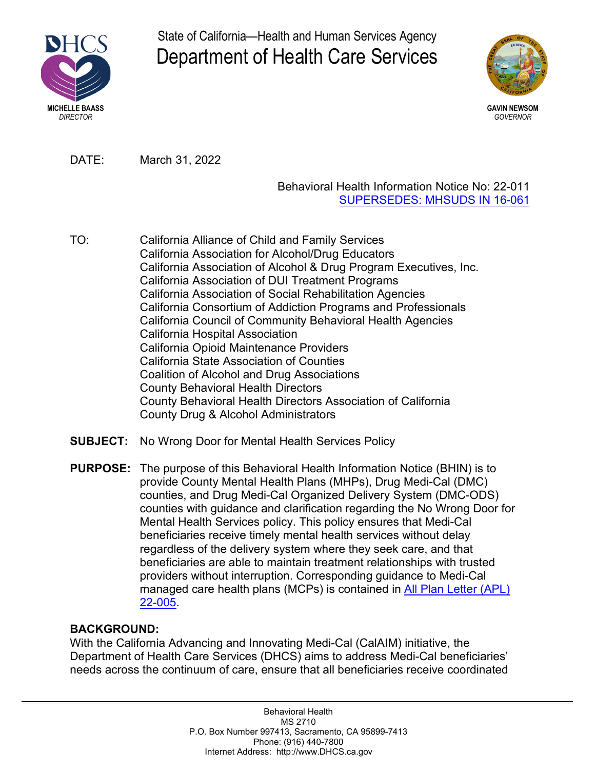

State of California—Health and Human Services Agency Department of Health Care Services



DATE: March 31, 2022

## Behavioral Health Information Notice No: 22-011 [SUPERSEDES: MHSUDS IN 16-061](https://www.dhcs.ca.gov/formsandpubs/Documents/MHSUDS%20Information%20Notices/MHSUDS_16-061.pdf)

- TO: California Alliance of Child and Family Services California Association for Alcohol/Drug Educators California Association of Alcohol & Drug Program Executives, Inc. California Association of DUI Treatment Programs California Association of Social Rehabilitation Agencies California Consortium of Addiction Programs and Professionals California Council of Community Behavioral Health Agencies California Hospital Association California Opioid Maintenance Providers California State Association of Counties Coalition of Alcohol and Drug Associations County Behavioral Health Directors County Behavioral Health Directors Association of California County Drug & Alcohol Administrators
- **SUBJECT:** No Wrong Door for Mental Health Services Policy

**PURPOSE:** The purpose of this Behavioral Health Information Notice (BHIN) is to provide County Mental Health Plans (MHPs), Drug Medi-Cal (DMC) counties, and Drug Medi-Cal Organized Delivery System (DMC-ODS) counties with guidance and clarification regarding the No Wrong Door for Mental Health Services policy. This policy ensures that Medi-Cal beneficiaries receive timely mental health services without delay regardless of the delivery system where they seek care, and that beneficiaries are able to maintain treatment relationships with trusted providers without interruption. Corresponding guidance to Medi-Cal managed care health plans (MCPs) is contained in [All Plan Letter \(APL\)](https://www.dhcs.ca.gov/formsandpubs/Pages/AllPlanLetters.aspx) [22-005.](https://www.dhcs.ca.gov/formsandpubs/Pages/AllPlanLetters.aspx)

## **BACKGROUND:**

With the California Advancing and Innovating Medi-Cal (CalAIM) initiative, the Department of Health Care Services (DHCS) aims to address Medi-Cal beneficiaries' needs across the continuum of care, ensure that all beneficiaries receive coordinated

> Behavioral Health MS 2710 P.O. Box Number 997413, Sacramento, CA 95899-7413 Phone: (916) 440-7800 Internet Address: http://www.DHCS.ca.gov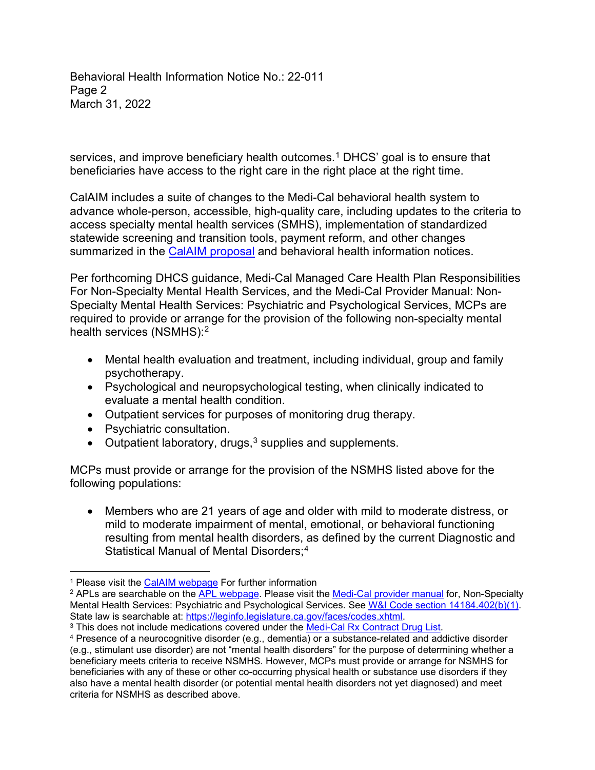Behavioral Health Information Notice No.: 22-011 Page 2 March 31, 2022

services, and improve beneficiary health outcomes.<sup>1</sup> DHCS' goal is to ensure that beneficiaries have access to the right care in the right place at the right time.

CalAIM includes a suite of changes to the Medi-Cal behavioral health system to advance whole-person, accessible, high-quality care, including updates to the criteria to access specialty mental health services (SMHS), implementation of standardized statewide screening and transition tools, payment reform, and other changes summarized in the [CalAIM proposal](https://www.dhcs.ca.gov/provgovpart/Documents/CalAIM-Proposal-Updated-1-8-21.pdf) and behavioral health information notices.

Per forthcoming DHCS guidance, Medi-Cal Managed Care Health Plan Responsibilities For Non-Specialty Mental Health Services, and the Medi-Cal Provider Manual: Non-Specialty Mental Health Services: Psychiatric and Psychological Services, MCPs are required to provide or arrange for the provision of the following non-specialty mental health services (NSMHS): 2

- Mental health evaluation and treatment, including individual, group and family psychotherapy.
- Psychological and neuropsychological testing, when clinically indicated to evaluate a mental health condition.
- Outpatient services for purposes of monitoring drug therapy.
- Psychiatric consultation.
- Outpatient laboratory, drugs,<sup>3</sup> supplies and supplements.

MCPs must provide or arrange for the provision of the NSMHS listed above for the following populations:

• Members who are 21 years of age and older with mild to moderate distress, or mild to moderate impairment of mental, emotional, or behavioral functioning resulting from mental health disorders, as defined by the current Diagnostic and Statistical Manual of Mental Disorders; 4

<sup>&</sup>lt;sup>1</sup> Please visit the <u>CalAIM webpage</u> For further information<br><sup>2</sup> APLs are searchable on the <u>APL webpage</u>. Please visit the <u>Medi-Cal [provider manual](https://files.medi-cal.ca.gov/pubsdoco/manuals_menu.aspx)</u> for, Non-Specialty Mental Health Services: Psychiatric and Psychological Services. See [W&I Code section 14184.402\(b\)\(1\).](https://leginfo.legislature.ca.gov/faces/codes_displaySection.xhtml?lawCode=WIC§ionNum=14184.402.)<br>State law is searchable at: https://leginfo.legislature.ca.gov/faces/codes.xhtml.

<sup>&</sup>lt;sup>3</sup> This does not include medications covered under the [Medi-Cal Rx Contract Drug List.](https://medi-calrx.dhcs.ca.gov/home/cdl/)

<sup>4</sup> Presence of a neurocognitive disorder (e.g., dementia) or a substance-related and addictive disorder (e.g., stimulant use disorder) are not "mental health disorders" for the purpose of determining whether a beneficiary meets criteria to receive NSMHS. However, MCPs must provide or arrange for NSMHS for beneficiaries with any of these or other co-occurring physical health or substance use disorders if they also have a mental health disorder (or potential mental health disorders not yet diagnosed) and meet criteria for NSMHS as described above.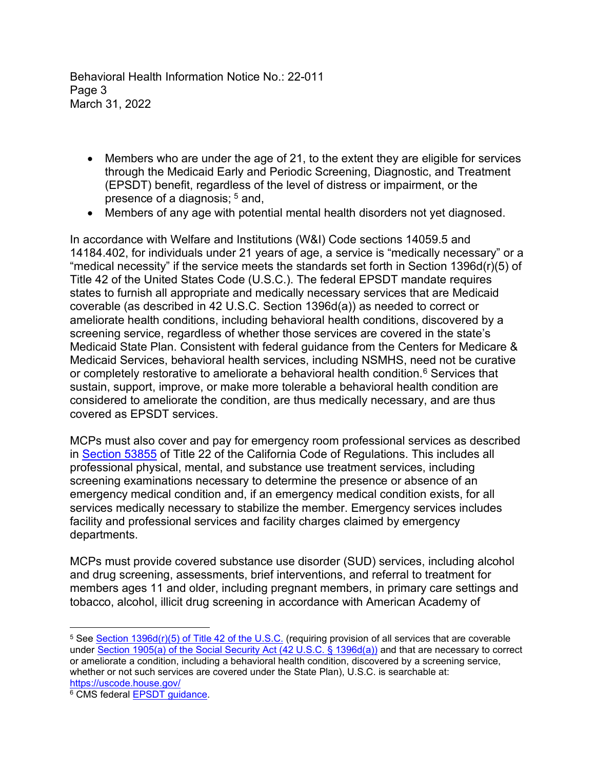Behavioral Health Information Notice No.: 22-011 Page 3 March 31, 2022

- Members who are under the age of 21, to the extent they are eligible for services through the Medicaid Early and Periodic Screening, Diagnostic, and Treatment (EPSDT) benefit, regardless of the level of distress or impairment, or the presence of a diagnosis;  $5$  and,
- Members of any age with potential mental health disorders not yet diagnosed.

In accordance with Welfare and Institutions (W&I) Code sections 14059.5 and 14184.402, for individuals under 21 years of age, a service is "medically necessary" or a "medical necessity" if the service meets the standards set forth in Section 1396d(r)(5) of Title 42 of the United States Code (U.S.C.). The federal EPSDT mandate requires states to furnish all appropriate and medically necessary services that are Medicaid coverable (as described in 42 U.S.C. Section 1396d(a)) as needed to correct or ameliorate health conditions, including behavioral health conditions, discovered by a screening service, regardless of whether those services are covered in the state's Medicaid State Plan. Consistent with federal guidance from the Centers for Medicare & Medicaid Services, behavioral health services, including NSMHS, need not be curative or completely restorative to ameliorate a behavioral health condition. $^6$  Services that sustain, support, improve, or make more tolerable a behavioral health condition are considered to ameliorate the condition, are thus medically necessary, and are thus covered as EPSDT services.

MCPs must also cover and pay for emergency room professional services as described in [Section 53855](https://govt.westlaw.com/calregs/Document/I6E3BEEE05F7811DFBF84F211BF18441D?viewType=FullText&originationContext=documenttoc&transitionType=CategoryPageItem&contextData=(sc.Default)&bhcp=1) of Title 22 of the California Code of Regulations. This includes all professional physical, mental, and substance use treatment services, including screening examinations necessary to determine the presence or absence of an emergency medical condition and, if an emergency medical condition exists, for all services medically necessary to stabilize the member. Emergency services includes facility and professional services and facility charges claimed by emergency departments.

MCPs must provide covered substance use disorder (SUD) services, including alcohol and drug screening, assessments, brief interventions, and referral to treatment for members ages 11 and older, including pregnant members, in primary care settings and tobacco, alcohol, illicit drug screening in accordance with American Academy of

<sup>5</sup> See [Section 1396d\(r\)\(5\) of Title 42 of the U.S.C.](https://uscode.house.gov/view.xhtml?req=(title:42%20section:1396d%20edition:prelim) (requiring provision of all services that are coverable under [Section 1905\(a\) of the Social Security Act \(42 U.S.C.](https://www.ssa.gov/OP_Home/ssact/title19/1905.htm) § 1396d(a)) and that are necessary to correct or ameliorate a condition, including a behavioral health condition, discovered by a screening service, whether or not such services are covered under the State Plan), U.S.C. is searchable at: <https://uscode.house.gov/>

<sup>6</sup> CMS federal [EPSDT guidance.](https://www.medicaid.gov/sites/default/files/2019-12/epsdt_coverage_guide.pdf)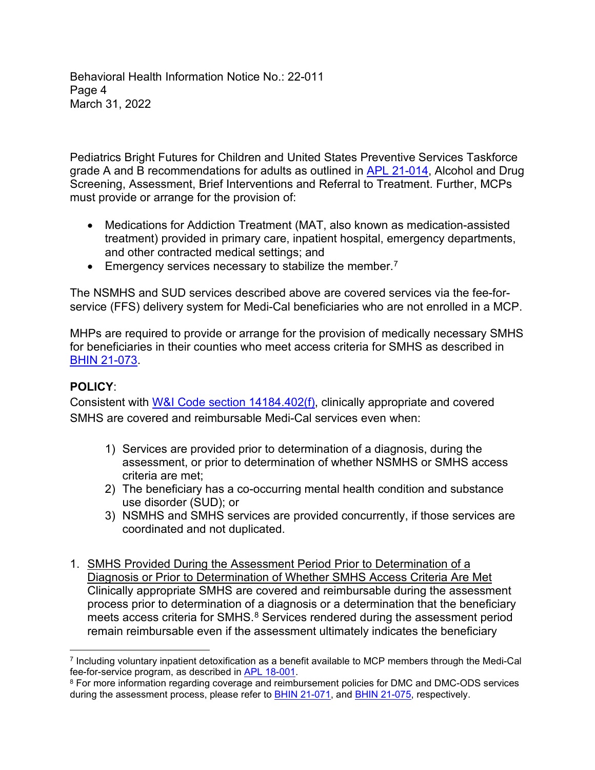Behavioral Health Information Notice No.: 22-011 Page 4 March 31, 2022

Pediatrics Bright Futures for Children and United States Preventive Services Taskforce grade A and B recommendations for adults as outlined in [APL 21-014](https://www.dhcs.ca.gov/formsandpubs/Documents/MMCDAPLsandPolicyLetters/APL2021/APL21-014.pdf), Alcohol and Drug Screening, Assessment, Brief Interventions and Referral to Treatment. Further, MCPs must provide or arrange for the provision of:

- Medications for Addiction Treatment (MAT, also known as medication-assisted treatment) provided in primary care, inpatient hospital, emergency departments, and other contracted medical settings; and
- **•** Emergency services necessary to stabilize the member.<sup>7</sup>

The NSMHS and SUD services described above are covered services via the fee-forservice (FFS) delivery system for Medi-Cal beneficiaries who are not enrolled in a MCP.

MHPs are required to provide or arrange for the provision of medically necessary SMHS for beneficiaries in their counties who meet access criteria for SMHS as described in [BHIN 21-073](https://www.dhcs.ca.gov/formsandpubs/Pages/2021-MHSUDS-BH-Information-Notices.aspx).

# **POLICY**:

Consistent with [W&I Code section 14184.402\(f\),](https://casetext.com/statute/california-codes/california-welfare-and-institutions-code/division-9-public-social-services/part-3-aid-and-medical-assistance/chapter-7-basic-health-care/article-551-california-advancing-and-innovating-medi-cal-act/section-14184402-medically-necessary-determinations-for-covered-specialty-mental-health-services-and-substance-use-disorder-services-nonspecialty-mental-health-services-coverage) clinically appropriate and covered SMHS are covered and reimbursable Medi-Cal services even when:

- 1) Services are provided prior to determination of a diagnosis, during the assessment, or prior to determination of whether NSMHS or SMHS access criteria are met;
- 2) The beneficiary has a co-occurring mental health condition and substance use disorder (SUD); or
- 3) NSMHS and SMHS services are provided concurrently, if those services are coordinated and not duplicated.
- 1. SMHS Provided During the Assessment Period Prior to Determination of a Diagnosis or Prior to Determination of Whether SMHS Access Criteria Are Met Clinically appropriate SMHS are covered and reimbursable during the assessment process prior to determination of a diagnosis or a determination that the beneficiary meets access criteria for SMHS.<sup>8</sup> Services rendered during the assessment period remain reimbursable even if the assessment ultimately indicates the beneficiary

<sup>7</sup> Including voluntary inpatient detoxification as a benefit available to MCP members through the Medi-Cal fee-for-service program, as described i[n APL 18-001.](https://www.dhcs.ca.gov/formsandpubs/Documents/MMCDAPLsandPolicyLetters/APL2018/APL18-001.pdf)

<sup>8</sup> For more information regarding coverage and reimbursement policies for DMC and DMC-ODS services during the assessment process, please refer to **[BHIN 21-071](https://www.dhcs.ca.gov/Documents/BHIN-21-071-Medical-Necessity-Determination-Level-of-Care-Determination-Requirements.pdf)**, and **BHIN 21-075**, respectively.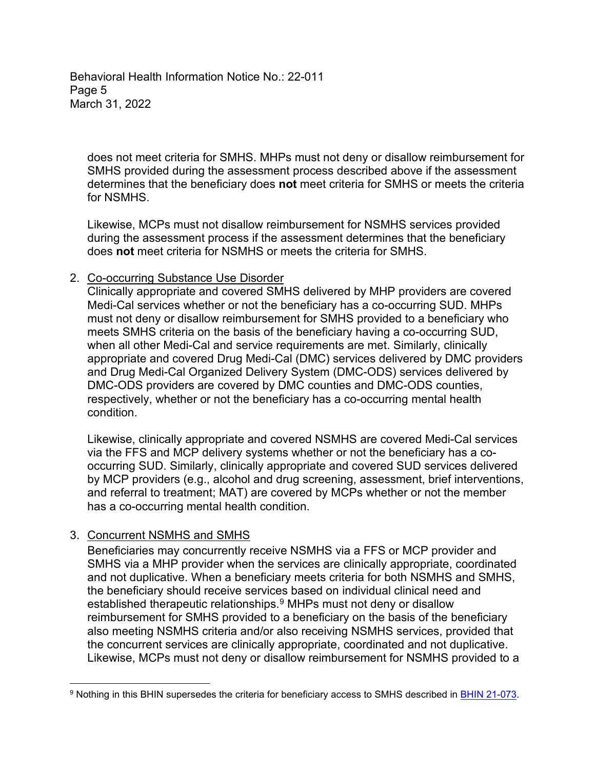Behavioral Health Information Notice No.: 22-011 Page 5 March 31, 2022

does not meet criteria for SMHS. MHPs must not deny or disallow reimbursement for SMHS provided during the assessment process described above if the assessment determines that the beneficiary does **not** meet criteria for SMHS or meets the criteria for NSMHS.

Likewise, MCPs must not disallow reimbursement for NSMHS services provided during the assessment process if the assessment determines that the beneficiary does **not** meet criteria for NSMHS or meets the criteria for SMHS.

#### 2. Co-occurring Substance Use Disorder

Clinically appropriate and covered SMHS delivered by MHP providers are covered Medi-Cal services whether or not the beneficiary has a co-occurring SUD. MHPs must not deny or disallow reimbursement for SMHS provided to a beneficiary who meets SMHS criteria on the basis of the beneficiary having a co-occurring SUD, when all other Medi-Cal and service requirements are met. Similarly, clinically appropriate and covered Drug Medi-Cal (DMC) services delivered by DMC providers and Drug Medi-Cal Organized Delivery System (DMC-ODS) services delivered by DMC-ODS providers are covered by DMC counties and DMC-ODS counties, respectively, whether or not the beneficiary has a co-occurring mental health condition.

Likewise, clinically appropriate and covered NSMHS are covered Medi-Cal services via the FFS and MCP delivery systems whether or not the beneficiary has a cooccurring SUD. Similarly, clinically appropriate and covered SUD services delivered by MCP providers (e.g., alcohol and drug screening, assessment, brief interventions, and referral to treatment; MAT) are covered by MCPs whether or not the member has a co-occurring mental health condition.

## 3. Concurrent NSMHS and SMHS

Beneficiaries may concurrently receive NSMHS via a FFS or MCP provider and SMHS via a MHP provider when the services are clinically appropriate, coordinated and not duplicative. When a beneficiary meets criteria for both NSMHS and SMHS, the beneficiary should receive services based on individual clinical need and established therapeutic relationships. <sup>9</sup> MHPs must not deny or disallow reimbursement for SMHS provided to a beneficiary on the basis of the beneficiary also meeting NSMHS criteria and/or also receiving NSMHS services, provided that the concurrent services are clinically appropriate, coordinated and not duplicative. Likewise, MCPs must not deny or disallow reimbursement for NSMHS provided to a

<sup>9</sup> Nothing in this BHIN supersedes the criteria for beneficiary access to SMHS described in [BHIN 21-073.](https://www.dhcs.ca.gov/Documents/BHIN-21-075-DMC-ODS-Requirements-for-the-Period-2022-2026.pdf)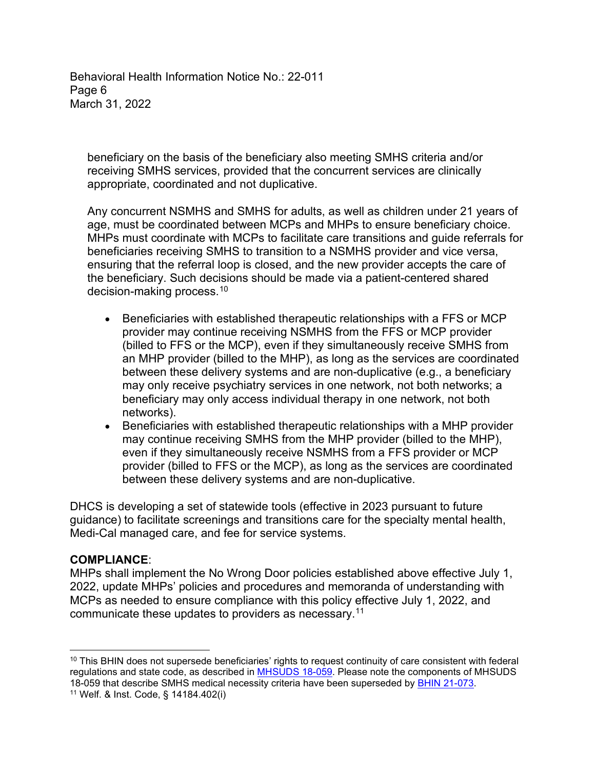Behavioral Health Information Notice No.: 22-011 Page 6 March 31, 2022

beneficiary on the basis of the beneficiary also meeting SMHS criteria and/or receiving SMHS services, provided that the concurrent services are clinically appropriate, coordinated and not duplicative.

Any concurrent NSMHS and SMHS for adults, as well as children under 21 years of age, must be coordinated between MCPs and MHPs to ensure beneficiary choice. MHPs must coordinate with MCPs to facilitate care transitions and guide referrals for beneficiaries receiving SMHS to transition to a NSMHS provider and vice versa, ensuring that the referral loop is closed, and the new provider accepts the care of the beneficiary. Such decisions should be made via a patient-centered shared decision-making process. $^{\rm 10}$ 

- Beneficiaries with established therapeutic relationships with a FFS or MCP provider may continue receiving NSMHS from the FFS or MCP provider (billed to FFS or the MCP), even if they simultaneously receive SMHS from an MHP provider (billed to the MHP), as long as the services are coordinated between these delivery systems and are non-duplicative (e.g., a beneficiary may only receive psychiatry services in one network, not both networks; a beneficiary may only access individual therapy in one network, not both networks).
- Beneficiaries with established therapeutic relationships with a MHP provider may continue receiving SMHS from the MHP provider (billed to the MHP), even if they simultaneously receive NSMHS from a FFS provider or MCP provider (billed to FFS or the MCP), as long as the services are coordinated between these delivery systems and are non-duplicative.

DHCS is developing a set of statewide tools (effective in 2023 pursuant to future guidance) to facilitate screenings and transitions care for the specialty mental health, Medi-Cal managed care, and fee for service systems.

#### **COMPLIANCE**:

MHPs shall implement the No Wrong Door policies established above effective July 1, 2022, update MHPs' policies and procedures and memoranda of understanding with MCPs as needed to ensure compliance with this policy effective July 1, 2022, and communicate these updates to providers as necessary. 11

<sup>&</sup>lt;sup>10</sup> This BHIN does not supersede beneficiaries' rights to request continuity of care consistent with federal regulations and state code, as described in [MHSUDS 18-059](https://www.dhcs.ca.gov/services/MH/Documents/Information%20Notices/IN_18-059_Continuity_of_Care/MHSUDS_Information_Notice_18-059_Continuity_of_Care.pdf). Please note the components of MHSUDS 18-059 that describe SMHS medical necessity criteria have been superseded by [BHIN 21-073.](https://www.dhcs.ca.gov/Documents/BHIN-21-073-Criteria-for-Beneficiary-to-Specialty-MHS-Medical-Necessity-and-Other-Coverage-Req.pdf)

<sup>11</sup> Welf. & Inst. Code, § 14184.402(i)